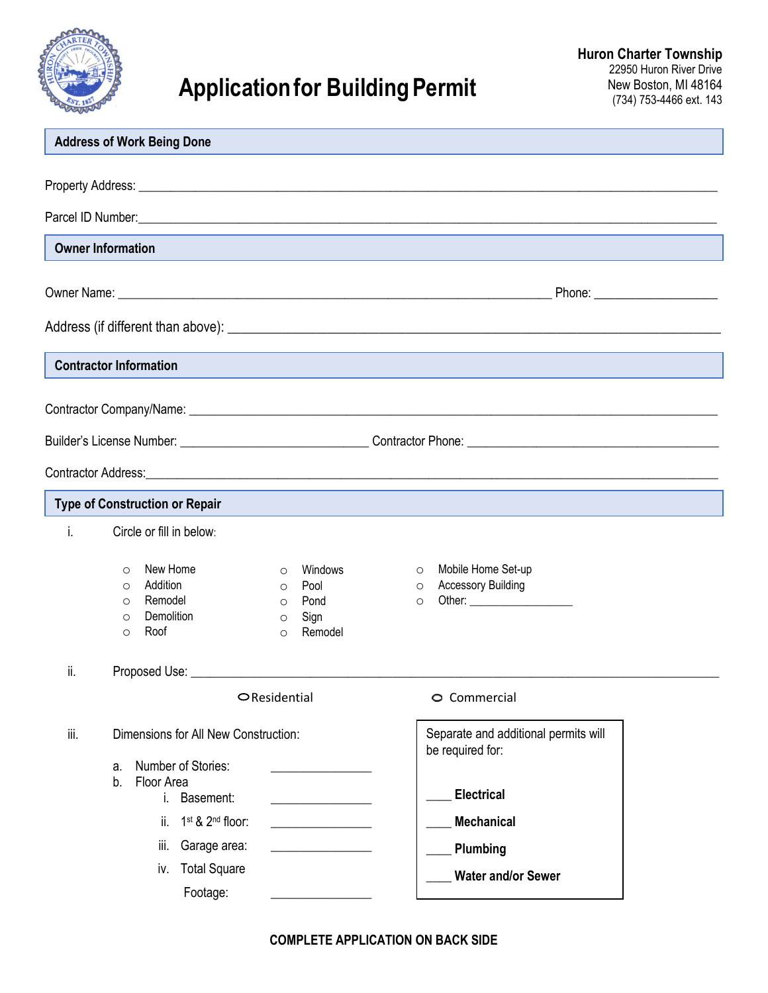

## **Application for Building Permit**

|      | <b>Address of Work Being Done</b>     |                                          |                        |                                 |         |                                      |                                |
|------|---------------------------------------|------------------------------------------|------------------------|---------------------------------|---------|--------------------------------------|--------------------------------|
|      |                                       |                                          |                        |                                 |         |                                      |                                |
|      |                                       |                                          |                        |                                 |         |                                      |                                |
|      |                                       |                                          |                        |                                 |         |                                      |                                |
|      | <b>Owner Information</b>              |                                          |                        |                                 |         |                                      |                                |
|      |                                       |                                          |                        |                                 |         |                                      |                                |
|      |                                       |                                          |                        |                                 |         |                                      | Phone: _______________________ |
|      |                                       |                                          |                        |                                 |         |                                      |                                |
|      | <b>Contractor Information</b>         |                                          |                        |                                 |         |                                      |                                |
|      |                                       |                                          |                        |                                 |         |                                      |                                |
|      |                                       |                                          |                        |                                 |         |                                      |                                |
|      |                                       |                                          |                        |                                 |         |                                      |                                |
|      |                                       |                                          |                        |                                 |         |                                      |                                |
|      |                                       |                                          |                        |                                 |         |                                      |                                |
|      | <b>Type of Construction or Repair</b> |                                          |                        |                                 |         |                                      |                                |
| i.   | Circle or fill in below:              |                                          |                        |                                 |         |                                      |                                |
|      | $\circ$                               | New Home                                 | $\circ$                | Windows                         | $\circ$ | Mobile Home Set-up                   |                                |
|      | Addition<br>$\circ$                   |                                          | $\circ$                | Pool                            | $\circ$ | <b>Accessory Building</b>            |                                |
|      | Remodel<br>$\circ$                    | Demolition                               | $\circ$                | Pond                            | $\circ$ |                                      |                                |
|      | $\circ$<br>Roof<br>$\circ$            |                                          | $\circ$<br>$\circ$     | Sign<br>Remodel                 |         |                                      |                                |
|      |                                       |                                          |                        |                                 |         |                                      |                                |
| ii.  |                                       |                                          |                        |                                 |         |                                      |                                |
|      |                                       |                                          | $\bigcirc$ Residential |                                 |         | O Commercial                         |                                |
| iii. |                                       | Dimensions for All New Construction:     |                        |                                 |         | Separate and additional permits will |                                |
|      | a.                                    | Number of Stories:                       |                        |                                 |         | be required for:                     |                                |
|      | Floor Area<br>b.                      |                                          |                        |                                 |         |                                      |                                |
|      |                                       | Basement:<br>i.                          |                        |                                 |         | <b>Electrical</b>                    |                                |
|      | ii.                                   | 1 <sup>st</sup> & 2 <sup>nd</sup> floor: |                        | <u> 1989 - Jan Sterlingen (</u> |         | <b>Mechanical</b>                    |                                |
|      | iii.                                  | Garage area:                             |                        |                                 |         | Plumbing                             |                                |
|      | iv.                                   | <b>Total Square</b>                      |                        |                                 |         | <b>Water and/or Sewer</b>            |                                |
|      |                                       | Footage:                                 |                        |                                 |         |                                      |                                |

**COMPLETE APPLICATION ON BACK SIDE**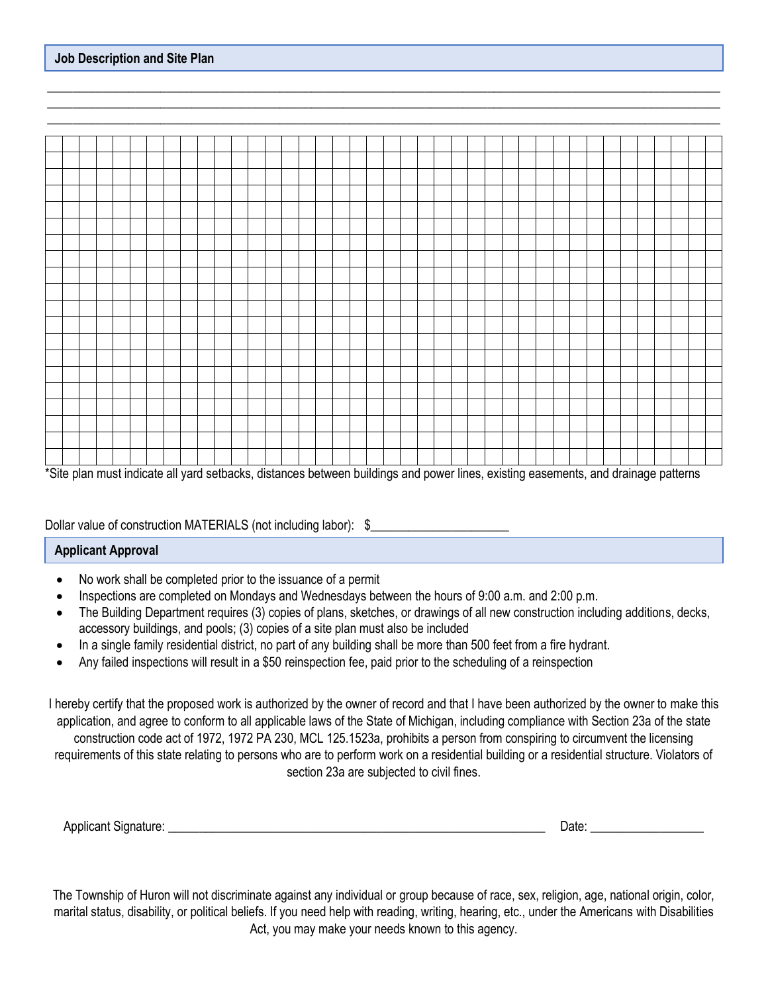|  |  | $\frac{1}{2}$ |  |  |  |  |  |  |  |  |  |  |  |  |  |  |  |  | $\sim$ |  |
|--|--|---------------|--|--|--|--|--|--|--|--|--|--|--|--|--|--|--|--|--------|--|

\_\_\_\_\_\_\_\_\_\_\_\_\_\_\_\_\_\_\_\_\_\_\_\_\_\_\_\_\_\_\_\_\_\_\_\_\_\_\_\_\_\_\_\_\_\_\_\_\_\_\_\_\_\_\_\_\_\_\_\_\_\_\_\_\_\_\_\_\_\_\_\_\_\_\_\_\_\_\_\_\_\_\_\_\_\_\_\_\_\_\_\_\_\_\_\_\_\_\_\_\_\_\_\_\_\_\_ \_\_\_\_\_\_\_\_\_\_\_\_\_\_\_\_\_\_\_\_\_\_\_\_\_\_\_\_\_\_\_\_\_\_\_\_\_\_\_\_\_\_\_\_\_\_\_\_\_\_\_\_\_\_\_\_\_\_\_\_\_\_\_\_\_\_\_\_\_\_\_\_\_\_\_\_\_\_\_\_\_\_\_\_\_\_\_\_\_\_\_\_\_\_\_\_\_\_\_\_\_\_\_\_\_\_\_  $\_$  ,  $\_$  ,  $\_$  ,  $\_$  ,  $\_$  ,  $\_$  ,  $\_$  ,  $\_$  ,  $\_$  ,  $\_$  ,  $\_$  ,  $\_$  ,  $\_$  ,  $\_$  ,  $\_$  ,  $\_$  ,  $\_$  ,  $\_$  ,  $\_$  ,  $\_$  ,  $\_$  ,  $\_$  ,  $\_$  ,  $\_$  ,  $\_$  ,  $\_$  ,  $\_$  ,  $\_$  ,  $\_$  ,  $\_$  ,  $\_$  ,  $\_$  ,  $\_$  ,  $\_$  ,  $\_$  ,  $\_$  ,  $\_$  ,

\*Site plan must indicate all yard setbacks, distances between buildings and power lines, existing easements, and drainage patterns

## Dollar value of construction MATERIALS (not including labor): \$

## **Applicant Approval**

- No work shall be completed prior to the issuance of a permit
- Inspections are completed on Mondays and Wednesdays between the hours of 9:00 a.m. and 2:00 p.m.
- The Building Department requires (3) copies of plans, sketches, or drawings of all new construction including additions, decks, accessory buildings, and pools; (3) copies of a site plan must also be included
- In a single family residential district, no part of any building shall be more than 500 feet from a fire hydrant.
- Any failed inspections will result in a \$50 reinspection fee, paid prior to the scheduling of a reinspection

I hereby certify that the proposed work is authorized by the owner of record and that I have been authorized by the owner to make this application, and agree to conform to all applicable laws of the State of Michigan, including compliance with Section 23a of the state construction code act of 1972, 1972 PA 230, MCL 125.1523a, prohibits a person from conspiring to circumvent the licensing requirements of this state relating to persons who are to perform work on a residential building or a residential structure. Violators of section 23a are subjected to civil fines.

| Annlicant<br>Sianatura | 12TE<br>-- |  |
|------------------------|------------|--|
|                        |            |  |

The Township of Huron will not discriminate against any individual or group because of race, sex, religion, age, national origin, color, marital status, disability, or political beliefs. If you need help with reading, writing, hearing, etc., under the Americans with Disabilities Act, you may make your needs known to this agency.